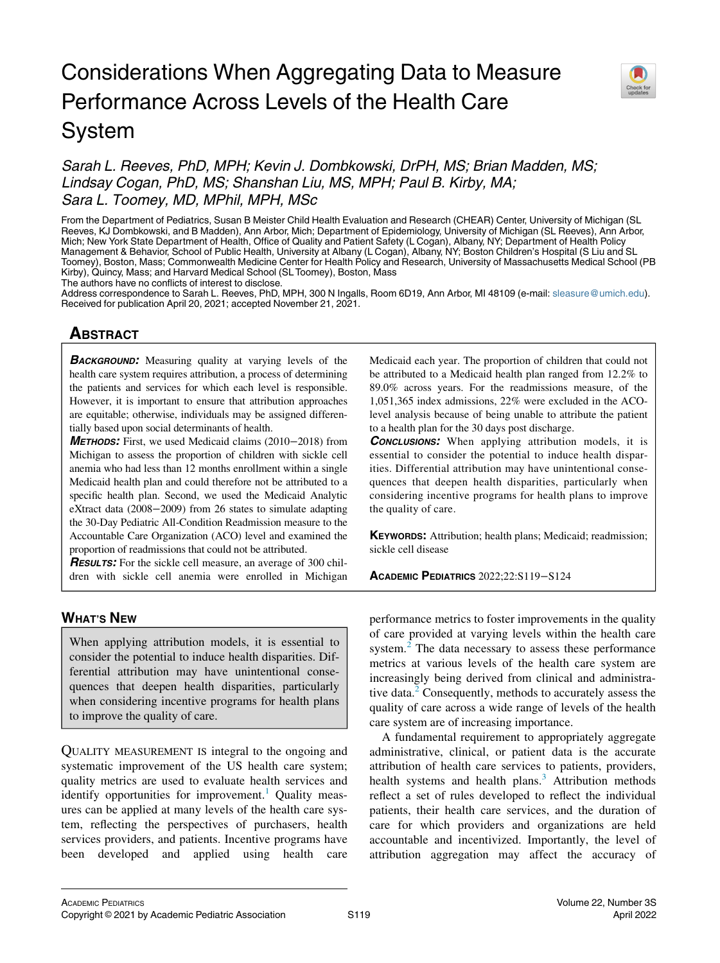# Considerations When Aggregating Data to Measure Performance Across Levels of the Health Care System



# Sarah L. Reeves, PhD, MPH; Kevin J. Dombkowski, DrPH, MS; Brian Madden, MS; Lindsay Cogan, PhD, MS; Shanshan Liu, MS, MPH; Paul B. Kirby, MA; Sara L. Toomey, MD, MPhil, MPH, MSc

From the Department of Pediatrics, Susan B Meister Child Health Evaluation and Research (CHEAR) Center, University of Michigan (SL Reeves, KJ Dombkowski, and B Madden), Ann Arbor, Mich; Department of Epidemiology, University of Michigan (SL Reeves), Ann Arbor, Mich; New York State Department of Health, Office of Quality and Patient Safety (L Cogan), Albany, NY; Department of Health Policy Management & Behavior, School of Public Health, University at Albany (L Cogan), Albany, NY; Boston Children's Hospital (S Liu and SL Toomey), Boston, Mass; Commonwealth Medicine Center for Health Policy and Research, University of Massachusetts Medical School (PB Kirby), Quincy, Mass; and Harvard Medical School (SL Toomey), Boston, Mass

The authors have no conflicts of interest to disclose.

Address correspondence to Sarah L. Reeves, PhD, MPH, 300 N Ingalls, Room 6D19, Ann Arbor, MI 48109 (e-mail: [sleasure@umich.edu\)](mailto:sleasure@umich.edu). Received for publication April 20, 2021; accepted November 21, 2021.

## **ABSTRACT** <u>ABSOLUTE</u>

**BACKGROUND:** Measuring quality at varying levels of the health care system requires attribution, a process of determining the patients and services for which each level is responsible. However, it is important to ensure that attribution approaches are equitable; otherwise, individuals may be assigned differentially based upon social determinants of health.

METHODS: First, we used Medicaid claims (2010−2018) from Michigan to assess the proportion of children with sickle cell anemia who had less than 12 months enrollment within a single Medicaid health plan and could therefore not be attributed to a specific health plan. Second, we used the Medicaid Analytic eXtract data (2008−2009) from 26 states to simulate adapting the 30-Day Pediatric All-Condition Readmission measure to the Accountable Care Organization (ACO) level and examined the proportion of readmissions that could not be attributed.

**RESULTS:** For the sickle cell measure, an average of 300 children with sickle cell anemia were enrolled in Michigan

### **WHAT'S NEW** <u>when the new state</u>

When applying attribution models, it is essential to consider the potential to induce health disparities. Differential attribution may have unintentional consequences that deepen health disparities, particularly when considering incentive programs for health plans to improve the quality of care.

QUALITY MEASUREMENT IS integral to the ongoing and systematic improvement of the US health care system; quality metrics are used to evaluate health services and identify opportunities for improvement.<sup>[1](#page-4-0)</sup> Quality measures can be applied at many levels of the health care system, reflecting the perspectives of purchasers, health services providers, and patients. Incentive programs have been developed and applied using health care Medicaid each year. The proportion of children that could not be attributed to a Medicaid health plan ranged from 12.2% to 89.0% across years. For the readmissions measure, of the 1,051,365 index admissions, 22% were excluded in the ACOlevel analysis because of being unable to attribute the patient to a health plan for the 30 days post discharge.

**CONCLUSIONS:** When applying attribution models, it is essential to consider the potential to induce health disparities. Differential attribution may have unintentional consequences that deepen health disparities, particularly when considering incentive programs for health plans to improve the quality of care.

KEYWORDS: Attribution; health plans; Medicaid; readmission; sickle cell disease

ACADEMIC PEDIATRICS 2022;22:S119−S124

performance metrics to foster improvements in the quality of care provided at varying levels within the health care system. $<sup>2</sup>$  $<sup>2</sup>$  $<sup>2</sup>$  The data necessary to assess these performance</sup> metrics at various levels of the health care system are increasingly being derived from clinical and administrative data.<sup>2</sup> Consequently, methods to accurately assess the quality of care across a wide range of levels of the health care system are of increasing importance.

A fundamental requirement to appropriately aggregate administrative, clinical, or patient data is the accurate attribution of health care services to patients, providers, health systems and health plans. $3$  Attribution methods reflect a set of rules developed to reflect the individual patients, their health care services, and the duration of care for which providers and organizations are held accountable and incentivized. Importantly, the level of attribution aggregation may affect the accuracy of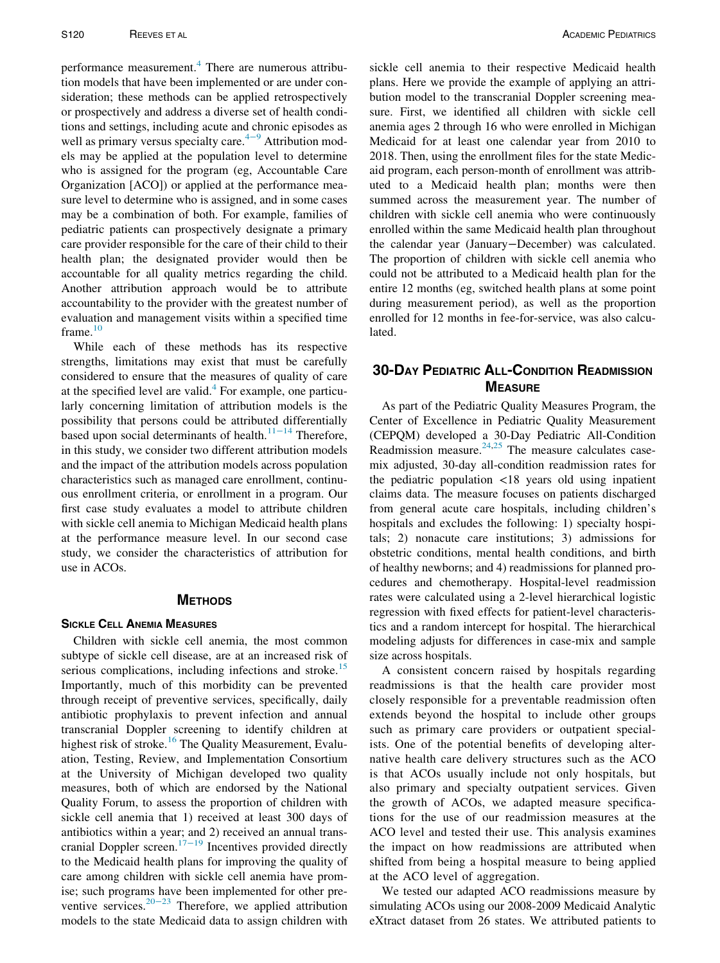performance measurement.<sup>[4](#page-4-3)</sup> There are numerous attribution models that have been implemented or are under consideration; these methods can be applied retrospectively or prospectively and address a diverse set of health conditions and settings, including acute and chronic episodes as well as primary versus specialty care. $4-9$  Attribution models may be applied at the population level to determine who is assigned for the program (eg, Accountable Care Organization [ACO]) or applied at the performance measure level to determine who is assigned, and in some cases may be a combination of both. For example, families of pediatric patients can prospectively designate a primary care provider responsible for the care of their child to their health plan; the designated provider would then be accountable for all quality metrics regarding the child. Another attribution approach would be to attribute accountability to the provider with the greatest number of evaluation and management visits within a specified time frame. $10$ 

While each of these methods has its respective strengths, limitations may exist that must be carefully considered to ensure that the measures of quality of care at the specified level are valid. $4$  For example, one particularly concerning limitation of attribution models is the possibility that persons could be attribut[ed dif](#page-4-5)ferentially based upon social determinants of health.<sup>11−14</sup> Therefore, in this study, we consider two different attribution models and the impact of the attribution models across population characteristics such as managed care enrollment, continuous enrollment criteria, or enrollment in a program. Our first case study evaluates a model to attribute children with sickle cell anemia to Michigan Medicaid health plans at the performance measure level. In our second case study, we consider the characteristics of attribution for use in ACOs.

#### **METHODS**

### **SICKLE CELL ANEMIA MEASURES**

Children with sickle cell anemia, the most common subtype of sickle cell disease, are at an increased risk of serious complications, including infections and stroke.<sup>[15](#page-4-6)</sup> Importantly, much of this morbidity can be prevented through receipt of preventive services, specifically, daily antibiotic prophylaxis to prevent infection and annual transcranial Doppler screening to identify children at highest risk of stroke.<sup>[16](#page-4-7)</sup> The Quality Measurement, Evaluation, Testing, Review, and Implementation Consortium at the University of Michigan developed two quality measures, both of which are endorsed by the National Quality Forum, to assess the proportion of children with sickle cell anemia that 1) received at least 300 days of antibiotics within a year; and 2) received an annual trans-cranial Doppler screen.<sup>17−[19](#page-4-8)</sup> Incentives provided directly to the Medicaid health plans for improving the quality of care among children with sickle cell anemia have promise; such programs have been implemented for other pre-ventive services.<sup>20−[23](#page-4-9)</sup> Therefore, we applied attribution models to the state Medicaid data to assign children with sickle cell anemia to their respective Medicaid health plans. Here we provide the example of applying an attribution model to the transcranial Doppler screening measure. First, we identified all children with sickle cell anemia ages 2 through 16 who were enrolled in Michigan Medicaid for at least one calendar year from 2010 to 2018. Then, using the enrollment files for the state Medicaid program, each person-month of enrollment was attributed to a Medicaid health plan; months were then summed across the measurement year. The number of children with sickle cell anemia who were continuously enrolled within the same Medicaid health plan throughout the calendar year (January−December) was calculated. The proportion of children with sickle cell anemia who could not be attributed to a Medicaid health plan for the entire 12 months (eg, switched health plans at some point during measurement period), as well as the proportion enrolled for 12 months in fee-for-service, was also calculated.

# **30-DAY PEDIATRIC ALL-CONDITION READMISSION MEASURE**

As part of the Pediatric Quality Measures Program, the Center of Excellence in Pediatric Quality Measurement (CEPQM) developed a 30-Day Pediatric All-Condition Readmission measure.<sup>[24](#page-4-10),[25](#page-4-11)</sup> The measure calculates casemix adjusted, 30-day all-condition readmission rates for the pediatric population <18 years old using inpatient claims data. The measure focuses on patients discharged from general acute care hospitals, including children's hospitals and excludes the following: 1) specialty hospitals; 2) nonacute care institutions; 3) admissions for obstetric conditions, mental health conditions, and birth of healthy newborns; and 4) readmissions for planned procedures and chemotherapy. Hospital-level readmission rates were calculated using a 2-level hierarchical logistic regression with fixed effects for patient-level characteristics and a random intercept for hospital. The hierarchical modeling adjusts for differences in case-mix and sample size across hospitals.

A consistent concern raised by hospitals regarding readmissions is that the health care provider most closely responsible for a preventable readmission often extends beyond the hospital to include other groups such as primary care providers or outpatient specialists. One of the potential benefits of developing alternative health care delivery structures such as the ACO is that ACOs usually include not only hospitals, but also primary and specialty outpatient services. Given the growth of ACOs, we adapted measure specifications for the use of our readmission measures at the ACO level and tested their use. This analysis examines the impact on how readmissions are attributed when shifted from being a hospital measure to being applied at the ACO level of aggregation.

We tested our adapted ACO readmissions measure by simulating ACOs using our 2008-2009 Medicaid Analytic eXtract dataset from 26 states. We attributed patients to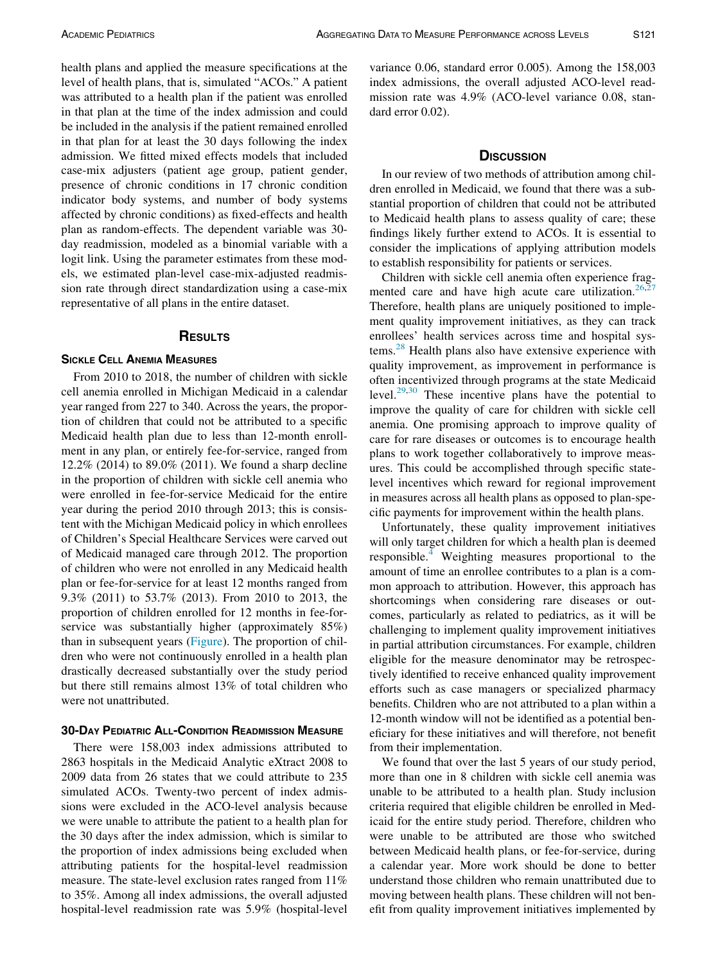health plans and applied the measure specifications at the level of health plans, that is, simulated "ACOs." A patient was attributed to a health plan if the patient was enrolled in that plan at the time of the index admission and could be included in the analysis if the patient remained enrolled in that plan for at least the 30 days following the index admission. We fitted mixed effects models that included case-mix adjusters (patient age group, patient gender, presence of chronic conditions in 17 chronic condition indicator body systems, and number of body systems affected by chronic conditions) as fixed-effects and health plan as random-effects. The dependent variable was 30 day readmission, modeled as a binomial variable with a logit link. Using the parameter estimates from these models, we estimated plan-level case-mix-adjusted readmission rate through direct standardization using a case-mix representative of all plans in the entire dataset.

#### **RESULTS** RESULTS

From 2010 to 2018, the number of children with sickle cell anemia enrolled in Michigan Medicaid in a calendar year ranged from 227 to 340. Across the years, the proportion of children that could not be attributed to a specific Medicaid health plan due to less than 12-month enrollment in any plan, or entirely fee-for-service, ranged from 12.2% (2014) to 89.0% (2011). We found a sharp decline in the proportion of children with sickle cell anemia who were enrolled in fee-for-service Medicaid for the entire year during the period 2010 through 2013; this is consistent with the Michigan Medicaid policy in which enrollees of Children's Special Healthcare Services were carved out of Medicaid managed care through 2012. The proportion of children who were not enrolled in any Medicaid health plan or fee-for-service for at least 12 months ranged from 9.3% (2011) to 53.7% (2013). From 2010 to 2013, the proportion of children enrolled for 12 months in fee-forservice was substantially higher (approximately 85%) than in subsequent years ([Figure\)](#page-3-0). The proportion of children who were not continuously enrolled in a health plan drastically decreased substantially over the study period but there still remains almost 13% of total children who were not unattributed.

#### **30-DAY PEDIATRIC ALL-CONDITION READMISSION MEASURE**

There were 158,003 index admissions attributed to 2863 hospitals in the Medicaid Analytic eXtract 2008 to 2009 data from 26 states that we could attribute to 235 simulated ACOs. Twenty-two percent of index admissions were excluded in the ACO-level analysis because we were unable to attribute the patient to a health plan for the 30 days after the index admission, which is similar to the proportion of index admissions being excluded when attributing patients for the hospital-level readmission measure. The state-level exclusion rates ranged from 11% to 35%. Among all index admissions, the overall adjusted hospital-level readmission rate was 5.9% (hospital-level variance 0.06, standard error 0.005). Among the 158,003 index admissions, the overall adjusted ACO-level readmission rate was 4.9% (ACO-level variance 0.08, standard error 0.02).

#### **DISCUSSION**

In our review of two methods of attribution among children enrolled in Medicaid, we found that there was a substantial proportion of children that could not be attributed to Medicaid health plans to assess quality of care; these findings likely further extend to ACOs. It is essential to consider the implications of applying attribution models to establish responsibility for patients or services.

Children with sickle cell anemia often experience frag-mented care and have high acute care utilization.<sup>[26,](#page-4-12)[27](#page-4-13)</sup> Therefore, health plans are uniquely positioned to implement quality improvement initiatives, as they can track enrollees' health services across time and hospital sys-tems.<sup>[28](#page-5-0)</sup> Health plans also have extensive experience with quality improvement, as improvement in performance is often incentivized through programs at the state Medicaid level. $29,30$  $29,30$  These incentive plans have the potential to improve the quality of care for children with sickle cell anemia. One promising approach to improve quality of care for rare diseases or outcomes is to encourage health plans to work together collaboratively to improve measures. This could be accomplished through specific statelevel incentives which reward for regional improvement in measures across all health plans as opposed to plan-specific payments for improvement within the health plans.

Unfortunately, these quality improvement initiatives will only target children for which a health plan is deemed responsible. $4$  Weighting measures proportional to the amount of time an enrollee contributes to a plan is a common approach to attribution. However, this approach has shortcomings when considering rare diseases or outcomes, particularly as related to pediatrics, as it will be challenging to implement quality improvement initiatives in partial attribution circumstances. For example, children eligible for the measure denominator may be retrospectively identified to receive enhanced quality improvement efforts such as case managers or specialized pharmacy benefits. Children who are not attributed to a plan within a 12-month window will not be identified as a potential beneficiary for these initiatives and will therefore, not benefit from their implementation.

We found that over the last 5 years of our study period, more than one in 8 children with sickle cell anemia was unable to be attributed to a health plan. Study inclusion criteria required that eligible children be enrolled in Medicaid for the entire study period. Therefore, children who were unable to be attributed are those who switched between Medicaid health plans, or fee-for-service, during a calendar year. More work should be done to better understand those children who remain unattributed due to moving between health plans. These children will not benefit from quality improvement initiatives implemented by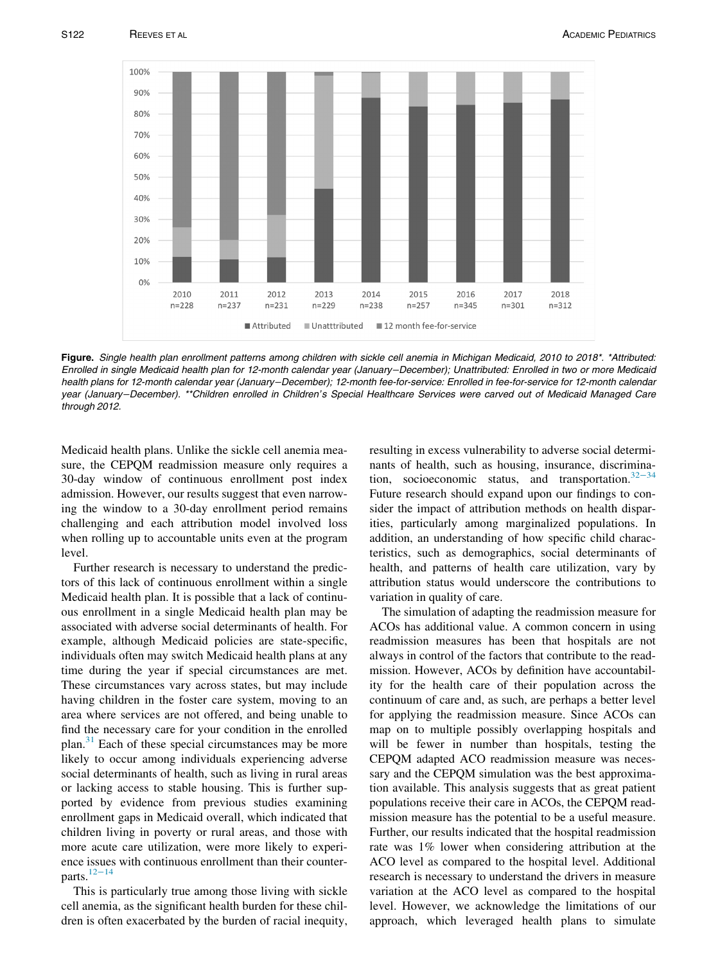<span id="page-3-0"></span>

Figure. Single health plan enrollment patterns among children with sickle cell anemia in Michigan Medicaid, 2010 to 2018\*. \*Attributed: Enrolled in single Medicaid health plan for 12-month calendar year (January−December); Unattributed: Enrolled in two or more Medicaid health plans for 12-month calendar year (January−December); 12-month fee-for-service: Enrolled in fee-for-service for 12-month calendar year (January−December). \*\*Children enrolled in Children's Special Healthcare Services were carved out of Medicaid Managed Care through 2012.

Medicaid health plans. Unlike the sickle cell anemia measure, the CEPQM readmission measure only requires a 30-day window of continuous enrollment post index admission. However, our results suggest that even narrowing the window to a 30-day enrollment period remains challenging and each attribution model involved loss when rolling up to accountable units even at the program level.

Further research is necessary to understand the predictors of this lack of continuous enrollment within a single Medicaid health plan. It is possible that a lack of continuous enrollment in a single Medicaid health plan may be associated with adverse social determinants of health. For example, although Medicaid policies are state-specific, individuals often may switch Medicaid health plans at any time during the year if special circumstances are met. These circumstances vary across states, but may include having children in the foster care system, moving to an area where services are not offered, and being unable to find the necessary care for your condition in the enrolled plan.<sup>[31](#page-5-3)</sup> Each of these special circumstances may be more likely to occur among individuals experiencing adverse social determinants of health, such as living in rural areas or lacking access to stable housing. This is further supported by evidence from previous studies examining enrollment gaps in Medicaid overall, which indicated that children living in poverty or rural areas, and those with more acute care utilization, were more likely to experience issues with continuous enrollment than their counter-parts.<sup>12−[14](#page-4-14)</sup>

This is particularly true among those living with sickle cell anemia, as the significant health burden for these children is often exacerbated by the burden of racial inequity, resulting in excess vulnerability to adverse social determinants of health, such as housing, insurance, discrimination, socioeconomic status, and transportation. $32-34$  $32-34$ Future research should expand upon our findings to consider the impact of attribution methods on health disparities, particularly among marginalized populations. In addition, an understanding of how specific child characteristics, such as demographics, social determinants of health, and patterns of health care utilization, vary by attribution status would underscore the contributions to variation in quality of care.

The simulation of adapting the readmission measure for ACOs has additional value. A common concern in using readmission measures has been that hospitals are not always in control of the factors that contribute to the readmission. However, ACOs by definition have accountability for the health care of their population across the continuum of care and, as such, are perhaps a better level for applying the readmission measure. Since ACOs can map on to multiple possibly overlapping hospitals and will be fewer in number than hospitals, testing the CEPQM adapted ACO readmission measure was necessary and the CEPQM simulation was the best approximation available. This analysis suggests that as great patient populations receive their care in ACOs, the CEPQM readmission measure has the potential to be a useful measure. Further, our results indicated that the hospital readmission rate was 1% lower when considering attribution at the ACO level as compared to the hospital level. Additional research is necessary to understand the drivers in measure variation at the ACO level as compared to the hospital level. However, we acknowledge the limitations of our approach, which leveraged health plans to simulate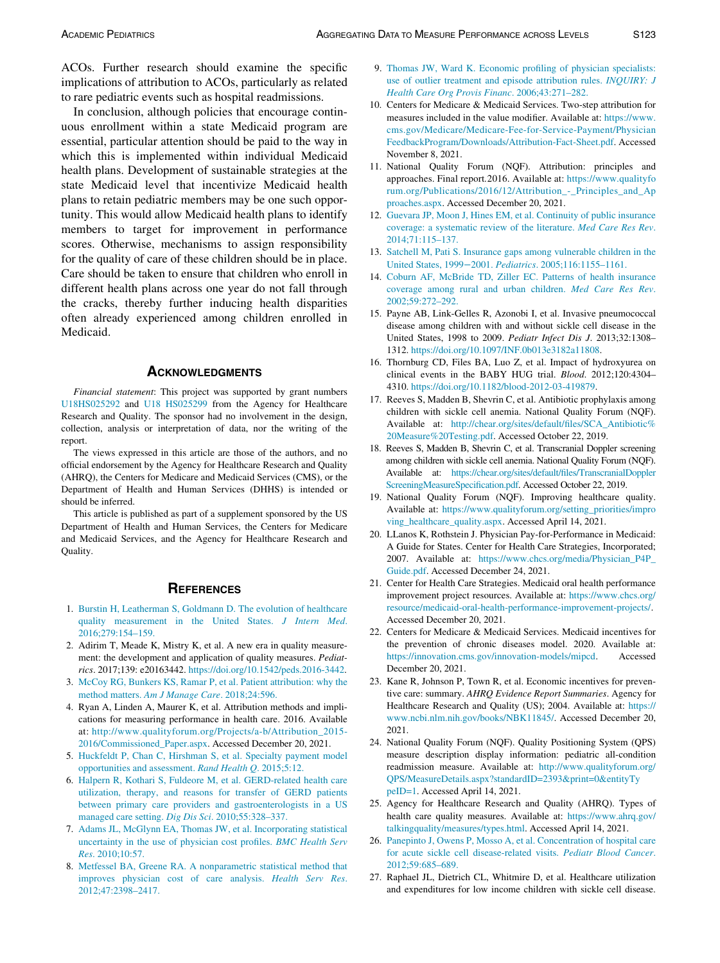ACOs. Further research should examine the specific implications of attribution to ACOs, particularly as related to rare pediatric events such as hospital readmissions.

<span id="page-4-14"></span><span id="page-4-5"></span><span id="page-4-4"></span>In conclusion, although policies that encourage continuous enrollment within a state Medicaid program are essential, particular attention should be paid to the way in which this is implemented within individual Medicaid health plans. Development of sustainable strategies at the state Medicaid level that incentivize Medicaid health plans to retain pediatric members may be one such opportunity. This would allow Medicaid health plans to identify members to target for improvement in performance scores. Otherwise, mechanisms to assign responsibility for the quality of care of these children should be in place. Care should be taken to ensure that children who enroll in different health plans across one year do not fall through the cracks, thereby further inducing health disparities often already experienced among children enrolled in Medicaid.

#### **ACKNOWLEDGMENTS**

<span id="page-4-15"></span><span id="page-4-8"></span><span id="page-4-7"></span><span id="page-4-6"></span>Financial statement: This project was supported by grant numbers [U18HS025292](#page-4-15) and [U18 HS025299](#page-4-15) from the Agency for Healthcare Research and Quality. The sponsor had no involvement in the design, collection, analysis or interpretation of data, nor the writing of the report.

The views expressed in this article are those of the authors, and no official endorsement by the Agency for Healthcare Research and Quality (AHRQ), the Centers for Medicare and Medicaid Services (CMS), or the Department of Health and Human Services (DHHS) is intended or should be inferred.

<span id="page-4-9"></span>This article is published as part of a supplement sponsored by the US Department of Health and Human Services, the Centers for Medicare and Medicaid Services, and the Agency for Healthcare Research and Quality.

- <span id="page-4-0"></span>1. [Burstin H, Leatherman S, Goldmann D. The evolution of healthcare](http://refhub.elsevier.com/S1876-2859(21)00550-7/sbref0001) [quality measurement in the United States.](http://refhub.elsevier.com/S1876-2859(21)00550-7/sbref0001) J Intern Med. [2016;279:154–159.](http://refhub.elsevier.com/S1876-2859(21)00550-7/sbref0001)
- <span id="page-4-1"></span>2. Adirim T, Meade K, Mistry K, et al. A new era in quality measurement: the development and application of quality measures. Pediatrics. 2017;139: e20163442. [https://doi.org/10.1542/peds.2016-3442.](https://doi.org/10.1542/peds.2016-3442)
- <span id="page-4-2"></span>3. [McCoy RG, Bunkers KS, Ramar P, et al. Patient attribution: why the](http://refhub.elsevier.com/S1876-2859(21)00550-7/sbref0003) method matters. [Am J Manage Care](http://refhub.elsevier.com/S1876-2859(21)00550-7/sbref0003). 2018;24:596.
- <span id="page-4-3"></span>4. Ryan A, Linden A, Maurer K, et al. Attribution methods and implications for measuring performance in health care. 2016. Available at: [http://www.qualityforum.org/Projects/a-b/Attribution\\_2015-](http://www.qualityforum.org/Projects/a-b/Attribution_2015-2016/Commissioned_Paper.aspx) [2016/Commissioned\\_Paper.aspx.](http://www.qualityforum.org/Projects/a-b/Attribution_2015-2016/Commissioned_Paper.aspx) Accessed December 20, 2021.
- <span id="page-4-10"></span>5. [Huckfeldt P, Chan C, Hirshman S, et al. Specialty payment model](http://refhub.elsevier.com/S1876-2859(21)00550-7/sbref0005) [opportunities and assessment.](http://refhub.elsevier.com/S1876-2859(21)00550-7/sbref0005) Rand Health Q. 2015;5:12.
- <span id="page-4-11"></span>6. [Halpern R, Kothari S, Fuldeore M, et al. GERD-related health care](http://refhub.elsevier.com/S1876-2859(21)00550-7/sbref0006) [utilization, therapy, and reasons for transfer of GERD patients](http://refhub.elsevier.com/S1876-2859(21)00550-7/sbref0006) [between primary care providers and gastroenterologists in a US](http://refhub.elsevier.com/S1876-2859(21)00550-7/sbref0006) [managed care setting.](http://refhub.elsevier.com/S1876-2859(21)00550-7/sbref0006) Dig Dis Sci. 2010;55:328–337.
- <span id="page-4-12"></span>7. [Adams JL, McGlynn EA, Thomas JW, et al. Incorporating statistical](http://refhub.elsevier.com/S1876-2859(21)00550-7/sbref0007) [uncertainty in the use of physician cost profiles.](http://refhub.elsevier.com/S1876-2859(21)00550-7/sbref0007) BMC Health Serv Res[. 2010;10:57.](http://refhub.elsevier.com/S1876-2859(21)00550-7/sbref0007)
- <span id="page-4-13"></span>8. [Metfessel BA, Greene RA. A nonparametric statistical method that](http://refhub.elsevier.com/S1876-2859(21)00550-7/sbref0008) [improves physician cost of care analysis.](http://refhub.elsevier.com/S1876-2859(21)00550-7/sbref0008) Health Serv Res. [2012;47:2398–2417.](http://refhub.elsevier.com/S1876-2859(21)00550-7/sbref0008)
- 9. [Thomas JW, Ward K. Economic profiling of physician specialists:](http://refhub.elsevier.com/S1876-2859(21)00550-7/sbref0009) [use of outlier treatment and episode attribution rules.](http://refhub.elsevier.com/S1876-2859(21)00550-7/sbref0009) INQUIRY: J [Health Care Org Provis Financ](http://refhub.elsevier.com/S1876-2859(21)00550-7/sbref0009). 2006;43:271–282.
- 10. Centers for Medicare & Medicaid Services. Two-step attribution for measures included in the value modifier. Available at: [https://www.](https://www.cms.gov/Medicare/Medicare-Fee-for-Service-Payment/PhysicianFeedbackProgram/Downloads/Attribution-Fact-Sheet.pdf) [cms.gov/Medicare/Medicare-Fee-for-Service-Payment/Physician](https://www.cms.gov/Medicare/Medicare-Fee-for-Service-Payment/PhysicianFeedbackProgram/Downloads/Attribution-Fact-Sheet.pdf) [FeedbackProgram/Downloads/Attribution-Fact-Sheet.pdf.](https://www.cms.gov/Medicare/Medicare-Fee-for-Service-Payment/PhysicianFeedbackProgram/Downloads/Attribution-Fact-Sheet.pdf) Accessed November 8, 2021.
- 11. National Quality Forum (NQF). Attribution: principles and approaches. Final report.2016. Available at: [https://www.qualityfo](https://www.qualityforum.org/Publications/2016/12/Attribution_-_Principles_and_Approaches.aspx) [rum.org/Publications/2016/12/Attribution\\_-\\_Principles\\_and\\_Ap](https://www.qualityforum.org/Publications/2016/12/Attribution_-_Principles_and_Approaches.aspx) [proaches.aspx](https://www.qualityforum.org/Publications/2016/12/Attribution_-_Principles_and_Approaches.aspx). Accessed December 20, 2021.
- 12. [Guevara JP, Moon J, Hines EM, et al. Continuity of public insurance](http://refhub.elsevier.com/S1876-2859(21)00550-7/sbref0012) [coverage: a systematic review of the literature.](http://refhub.elsevier.com/S1876-2859(21)00550-7/sbref0012) Med Care Res Rev. [2014;71:115–137.](http://refhub.elsevier.com/S1876-2859(21)00550-7/sbref0012)
- 13. [Satchell M, Pati S. Insurance gaps among vulnerable children in the](http://refhub.elsevier.com/S1876-2859(21)00550-7/sbref0013) United States, 1999−2001. Pediatrics[. 2005;116:1155–1161.](http://refhub.elsevier.com/S1876-2859(21)00550-7/sbref0013)
- 14. [Coburn AF, McBride TD, Ziller EC. Patterns of health insurance](http://refhub.elsevier.com/S1876-2859(21)00550-7/sbref0014) [coverage among rural and urban children.](http://refhub.elsevier.com/S1876-2859(21)00550-7/sbref0014) Med Care Res Rev. [2002;59:272–292.](http://refhub.elsevier.com/S1876-2859(21)00550-7/sbref0014)
- 15. Payne AB, Link-Gelles R, Azonobi I, et al. Invasive pneumococcal disease among children with and without sickle cell disease in the United States, 1998 to 2009. Pediatr Infect Dis J. 2013;32:1308– 1312. <https://doi.org/10.1097/INF.0b013e3182a11808>.
- 16. Thornburg CD, Files BA, Luo Z, et al. Impact of hydroxyurea on clinical events in the BABY HUG trial. Blood. 2012;120:4304– 4310. [https://doi.org/10.1182/blood-2012-03-419879.](https://doi.org/10.1182/blood-2012-03-419879)
- 17. Reeves S, Madden B, Shevrin C, et al. Antibiotic prophylaxis among children with sickle cell anemia. National Quality Forum (NQF). Available at: [http://chear.org/sites/default/files/SCA\\_Antibiotic%](http://chear.org/sites/default/files/SCA_Antibiotic%20Measure%20Testing.pdf) [20Measure%20Testing.pdf.](http://chear.org/sites/default/files/SCA_Antibiotic%20Measure%20Testing.pdf) Accessed October 22, 2019.
- 18. Reeves S, Madden B, Shevrin C, et al. Transcranial Doppler screening among children with sickle cell anemia. National Quality Forum (NQF). Available at: [https://chear.org/sites/default/files/TranscranialDoppler](https://chear.org/sites/default/files/TranscranialDopplerScreeningMeasureSpecification.pdf) [ScreeningMeasureSpecification.pdf](https://chear.org/sites/default/files/TranscranialDopplerScreeningMeasureSpecification.pdf). Accessed October 22, 2019.
- 19. National Quality Forum (NQF). Improving healthcare quality. Available at: [https://www.qualityforum.org/setting\\_priorities/impro](https://www.qualityforum.org/setting_priorities/improving_healthcare_quality.aspx) [ving\\_healthcare\\_quality.aspx](https://www.qualityforum.org/setting_priorities/improving_healthcare_quality.aspx). Accessed April 14, 2021.
- 20. LLanos K, Rothstein J. Physician Pay-for-Performance in Medicaid: A Guide for States. Center for Health Care Strategies, Incorporated; 2007. Available at: [https://www.chcs.org/media/Physician\\_P4P\\_](https://www.chcs.org/media/Physician_P4P_Guide.pdf) [Guide.pdf](https://www.chcs.org/media/Physician_P4P_Guide.pdf). Accessed December 24, 2021.
- 21. Center for Health Care Strategies. Medicaid oral health performance improvement project resources. Available at: [https://www.chcs.org/](https://www.chcs.org/resource/medicaid-oral-health-performance-improvement-projects/) [resource/medicaid-oral-health-performance-improvement-projects/](https://www.chcs.org/resource/medicaid-oral-health-performance-improvement-projects/). Accessed December 20, 2021.
- 22. Centers for Medicare & Medicaid Services. Medicaid incentives for the prevention of chronic diseases model. 2020. Available at: <https://innovation.cms.gov/innovation-models/mipcd>. Accessed December 20, 2021.
- 23. Kane R, Johnson P, Town R, et al. Economic incentives for preventive care: summary. AHRQ Evidence Report Summaries. Agency for Healthcare Research and Quality (US); 2004. Available at: [https://](https://www.ncbi.nlm.nih.gov/books/NBK11845/) [www.ncbi.nlm.nih.gov/books/NBK11845/](https://www.ncbi.nlm.nih.gov/books/NBK11845/). Accessed December 20, 2021.
- 24. National Quality Forum (NQF). Quality Positioning System (QPS) measure description display information: pediatric all-condition readmission measure. Available at: [http://www.qualityforum.org/](http://www.qualityforum.org/QPS/MeasureDetails.aspx?standardID=2393&print=0&entityTypeID=1) [QPS/MeasureDetails.aspx?standardID=2393&print=0&entityTy](http://www.qualityforum.org/QPS/MeasureDetails.aspx?standardID=2393&print=0&entityTypeID=1) [peID=1.](http://www.qualityforum.org/QPS/MeasureDetails.aspx?standardID=2393&print=0&entityTypeID=1) Accessed April 14, 2021.
- 25. Agency for Healthcare Research and Quality (AHRQ). Types of health care quality measures. Available at: [https://www.ahrq.gov/](https://www.ahrq.gov/talkingquality/measures/types.html) [talkingquality/measures/types.html.](https://www.ahrq.gov/talkingquality/measures/types.html) Accessed April 14, 2021.
- 26. [Panepinto J, Owens P, Mosso A, et al. Concentration of hospital care](http://refhub.elsevier.com/S1876-2859(21)00550-7/sbref0026) [for acute sickle cell disease-related visits.](http://refhub.elsevier.com/S1876-2859(21)00550-7/sbref0026) Pediatr Blood Cancer. [2012;59:685–689.](http://refhub.elsevier.com/S1876-2859(21)00550-7/sbref0026)
- 27. Raphael JL, Dietrich CL, Whitmire D, et al. Healthcare utilization and expenditures for low income children with sickle cell disease.